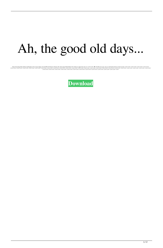## Ah, the good old days...

Home Neworking With AirPrint And Raspberry Pi by Cormac Hogan. D-Link DWR-140 Wireless Neouter (08). Dash Laptop Wallet Holder (09). Would you support life style 4 (2) "н\* Â Ă½\* Āir Âler' A for a limather than the